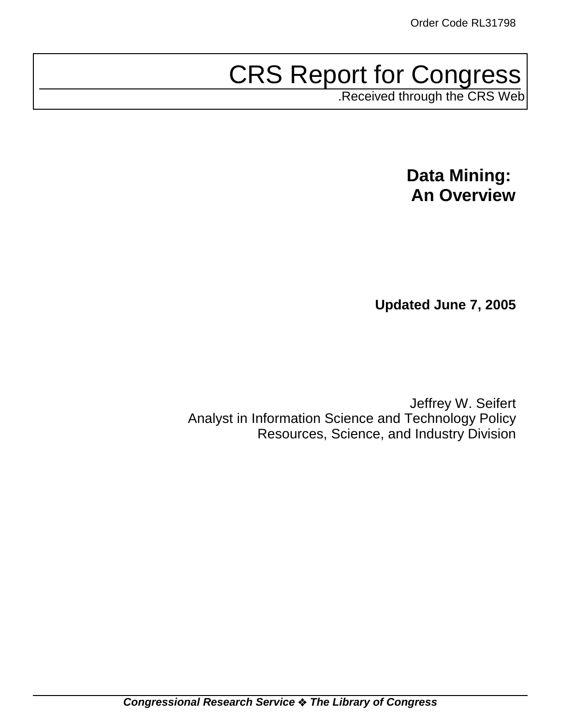# CRS Report for Congress

.Received through the CRS Web

# **Data Mining: An Overview**

**Updated June 7, 2005**

Jeffrey W. Seifert Analyst in Information Science and Technology Policy Resources, Science, and Industry Division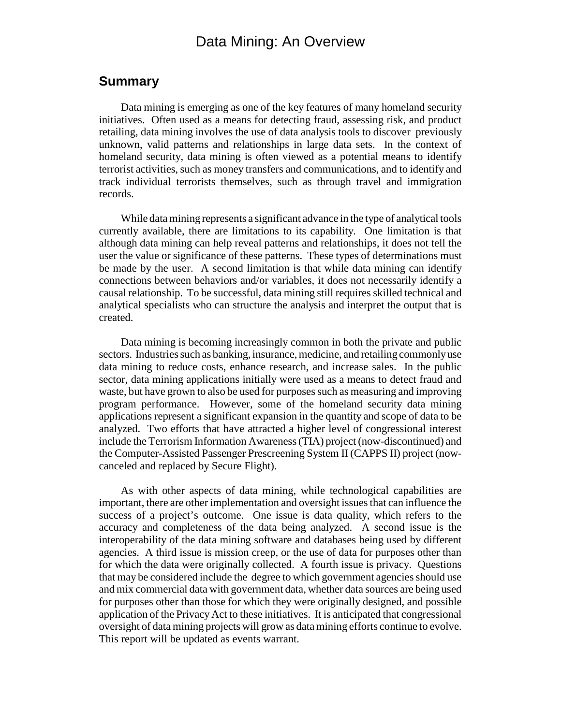## Data Mining: An Overview

#### **Summary**

Data mining is emerging as one of the key features of many homeland security initiatives. Often used as a means for detecting fraud, assessing risk, and product retailing, data mining involves the use of data analysis tools to discover previously unknown, valid patterns and relationships in large data sets. In the context of homeland security, data mining is often viewed as a potential means to identify terrorist activities, such as money transfers and communications, and to identify and track individual terrorists themselves, such as through travel and immigration records.

While data mining represents a significant advance in the type of analytical tools currently available, there are limitations to its capability. One limitation is that although data mining can help reveal patterns and relationships, it does not tell the user the value or significance of these patterns. These types of determinations must be made by the user. A second limitation is that while data mining can identify connections between behaviors and/or variables, it does not necessarily identify a causal relationship. To be successful, data mining still requires skilled technical and analytical specialists who can structure the analysis and interpret the output that is created.

Data mining is becoming increasingly common in both the private and public sectors. Industries such as banking, insurance, medicine, and retailing commonly use data mining to reduce costs, enhance research, and increase sales. In the public sector, data mining applications initially were used as a means to detect fraud and waste, but have grown to also be used for purposes such as measuring and improving program performance. However, some of the homeland security data mining applications represent a significant expansion in the quantity and scope of data to be analyzed. Two efforts that have attracted a higher level of congressional interest include the Terrorism Information Awareness (TIA) project (now-discontinued) and the Computer-Assisted Passenger Prescreening System II (CAPPS II) project (nowcanceled and replaced by Secure Flight).

As with other aspects of data mining, while technological capabilities are important, there are other implementation and oversight issues that can influence the success of a project's outcome. One issue is data quality, which refers to the accuracy and completeness of the data being analyzed. A second issue is the interoperability of the data mining software and databases being used by different agencies. A third issue is mission creep, or the use of data for purposes other than for which the data were originally collected. A fourth issue is privacy. Questions that may be considered include the degree to which government agencies should use and mix commercial data with government data, whether data sources are being used for purposes other than those for which they were originally designed, and possible application of the Privacy Act to these initiatives. It is anticipated that congressional oversight of data mining projects will grow as data mining efforts continue to evolve. This report will be updated as events warrant.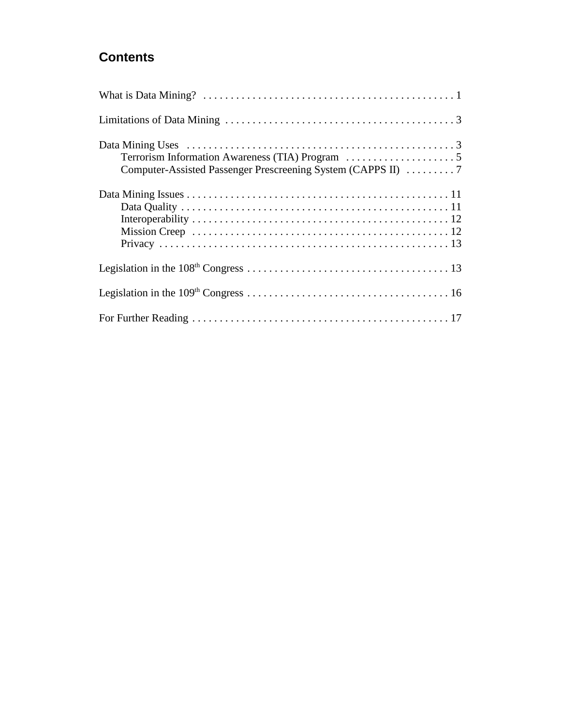# **Contents**

| Computer-Assisted Passenger Prescreening System (CAPPS II) 7 |
|--------------------------------------------------------------|
|                                                              |
|                                                              |
|                                                              |
|                                                              |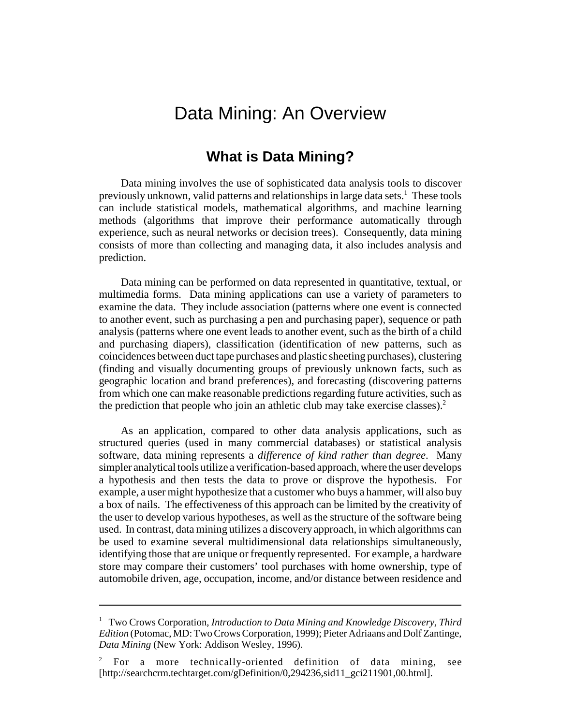# Data Mining: An Overview

## **What is Data Mining?**

Data mining involves the use of sophisticated data analysis tools to discover previously unknown, valid patterns and relationships in large data sets.<sup>1</sup> These tools can include statistical models, mathematical algorithms, and machine learning methods (algorithms that improve their performance automatically through experience, such as neural networks or decision trees). Consequently, data mining consists of more than collecting and managing data, it also includes analysis and prediction.

Data mining can be performed on data represented in quantitative, textual, or multimedia forms. Data mining applications can use a variety of parameters to examine the data. They include association (patterns where one event is connected to another event, such as purchasing a pen and purchasing paper), sequence or path analysis (patterns where one event leads to another event, such as the birth of a child and purchasing diapers), classification (identification of new patterns, such as coincidences between duct tape purchases and plastic sheeting purchases), clustering (finding and visually documenting groups of previously unknown facts, such as geographic location and brand preferences), and forecasting (discovering patterns from which one can make reasonable predictions regarding future activities, such as the prediction that people who join an athletic club may take exercise classes). $2$ 

As an application, compared to other data analysis applications, such as structured queries (used in many commercial databases) or statistical analysis software, data mining represents a *difference of kind rather than degree*. Many simpler analytical tools utilize a verification-based approach, where the user develops a hypothesis and then tests the data to prove or disprove the hypothesis. For example, a user might hypothesize that a customer who buys a hammer, will also buy a box of nails. The effectiveness of this approach can be limited by the creativity of the user to develop various hypotheses, as well as the structure of the software being used. In contrast, data mining utilizes a discovery approach, in which algorithms can be used to examine several multidimensional data relationships simultaneously, identifying those that are unique or frequently represented. For example, a hardware store may compare their customers' tool purchases with home ownership, type of automobile driven, age, occupation, income, and/or distance between residence and

<sup>&</sup>lt;sup>1</sup> Two Crows Corporation, *Introduction to Data Mining and Knowledge Discovery, Third Edition* (Potomac, MD: Two Crows Corporation, 1999); Pieter Adriaans and Dolf Zantinge, *Data Mining* (New York: Addison Wesley, 1996).

<sup>2</sup> For a more technically-oriented definition of data mining, see [http://searchcrm.techtarget.com/gDefinition/0,294236,sid11\_gci211901,00.html].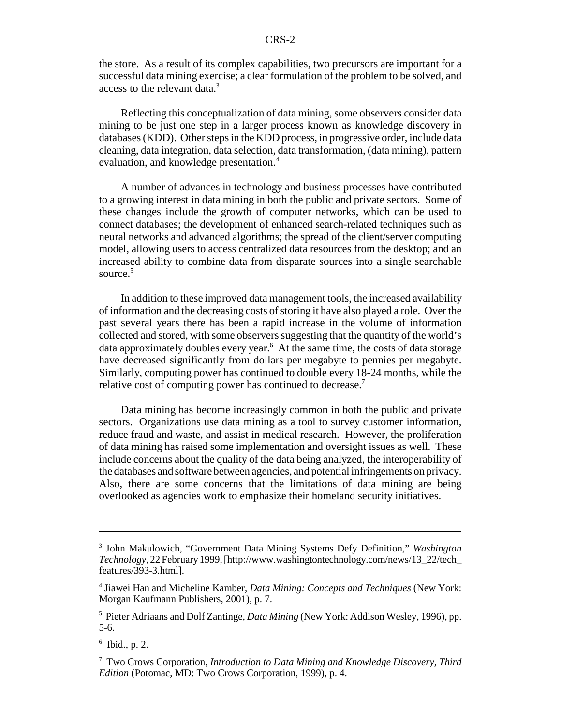the store. As a result of its complex capabilities, two precursors are important for a successful data mining exercise; a clear formulation of the problem to be solved, and access to the relevant data.<sup>3</sup>

Reflecting this conceptualization of data mining, some observers consider data mining to be just one step in a larger process known as knowledge discovery in databases (KDD). Other steps in the KDD process, in progressive order, include data cleaning, data integration, data selection, data transformation, (data mining), pattern evaluation, and knowledge presentation.<sup>4</sup>

A number of advances in technology and business processes have contributed to a growing interest in data mining in both the public and private sectors. Some of these changes include the growth of computer networks, which can be used to connect databases; the development of enhanced search-related techniques such as neural networks and advanced algorithms; the spread of the client/server computing model, allowing users to access centralized data resources from the desktop; and an increased ability to combine data from disparate sources into a single searchable source.<sup>5</sup>

In addition to these improved data management tools, the increased availability of information and the decreasing costs of storing it have also played a role. Over the past several years there has been a rapid increase in the volume of information collected and stored, with some observers suggesting that the quantity of the world's data approximately doubles every year.<sup>6</sup> At the same time, the costs of data storage have decreased significantly from dollars per megabyte to pennies per megabyte. Similarly, computing power has continued to double every 18-24 months, while the relative cost of computing power has continued to decrease.<sup>7</sup>

Data mining has become increasingly common in both the public and private sectors. Organizations use data mining as a tool to survey customer information, reduce fraud and waste, and assist in medical research. However, the proliferation of data mining has raised some implementation and oversight issues as well. These include concerns about the quality of the data being analyzed, the interoperability of the databases and software between agencies, and potential infringements on privacy. Also, there are some concerns that the limitations of data mining are being overlooked as agencies work to emphasize their homeland security initiatives.

<sup>3</sup> John Makulowich, "Government Data Mining Systems Defy Definition," *Washington Technology*, 22 February 1999, [http://www.washingtontechnology.com/news/13\_22/tech\_ features/393-3.html].

<sup>4</sup> Jiawei Han and Micheline Kamber, *Data Mining: Concepts and Techniques* (New York: Morgan Kaufmann Publishers, 2001), p. 7.

<sup>5</sup> Pieter Adriaans and Dolf Zantinge, *Data Mining* (New York: Addison Wesley, 1996), pp. 5-6.

<sup>6</sup> Ibid., p. 2.

<sup>7</sup> Two Crows Corporation, *Introduction to Data Mining and Knowledge Discovery, Third Edition* (Potomac, MD: Two Crows Corporation, 1999), p. 4.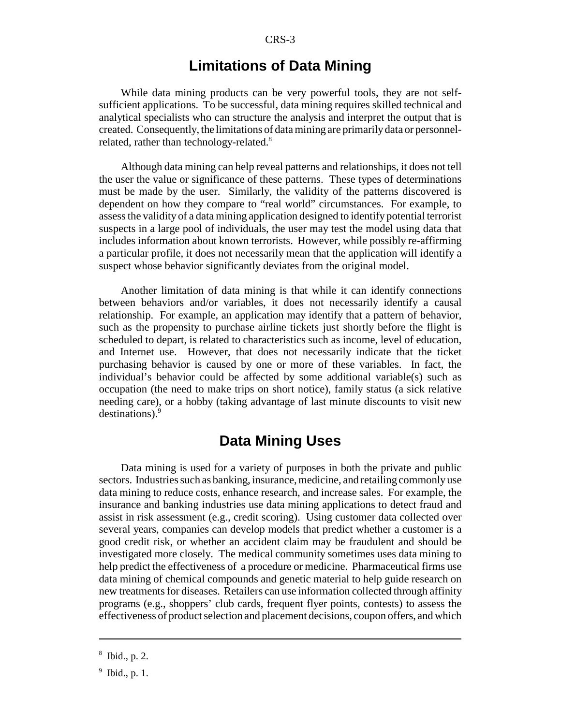## **Limitations of Data Mining**

While data mining products can be very powerful tools, they are not selfsufficient applications. To be successful, data mining requires skilled technical and analytical specialists who can structure the analysis and interpret the output that is created. Consequently, the limitations of data mining are primarily data or personnelrelated, rather than technology-related.<sup>8</sup>

Although data mining can help reveal patterns and relationships, it does not tell the user the value or significance of these patterns. These types of determinations must be made by the user. Similarly, the validity of the patterns discovered is dependent on how they compare to "real world" circumstances. For example, to assess the validity of a data mining application designed to identify potential terrorist suspects in a large pool of individuals, the user may test the model using data that includes information about known terrorists. However, while possibly re-affirming a particular profile, it does not necessarily mean that the application will identify a suspect whose behavior significantly deviates from the original model.

Another limitation of data mining is that while it can identify connections between behaviors and/or variables, it does not necessarily identify a causal relationship. For example, an application may identify that a pattern of behavior, such as the propensity to purchase airline tickets just shortly before the flight is scheduled to depart, is related to characteristics such as income, level of education, and Internet use. However, that does not necessarily indicate that the ticket purchasing behavior is caused by one or more of these variables. In fact, the individual's behavior could be affected by some additional variable(s) such as occupation (the need to make trips on short notice), family status (a sick relative needing care), or a hobby (taking advantage of last minute discounts to visit new destinations).<sup>9</sup>

### **Data Mining Uses**

Data mining is used for a variety of purposes in both the private and public sectors. Industries such as banking, insurance, medicine, and retailing commonly use data mining to reduce costs, enhance research, and increase sales. For example, the insurance and banking industries use data mining applications to detect fraud and assist in risk assessment (e.g., credit scoring). Using customer data collected over several years, companies can develop models that predict whether a customer is a good credit risk, or whether an accident claim may be fraudulent and should be investigated more closely. The medical community sometimes uses data mining to help predict the effectiveness of a procedure or medicine. Pharmaceutical firms use data mining of chemical compounds and genetic material to help guide research on new treatments for diseases. Retailers can use information collected through affinity programs (e.g., shoppers' club cards, frequent flyer points, contests) to assess the effectiveness of product selection and placement decisions, coupon offers, and which

<sup>8</sup> Ibid., p. 2.

<sup>9</sup> Ibid., p. 1.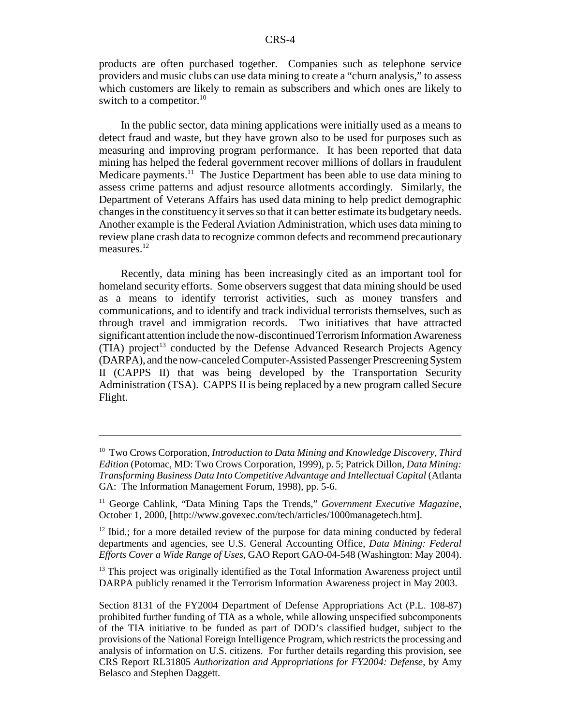products are often purchased together. Companies such as telephone service providers and music clubs can use data mining to create a "churn analysis," to assess which customers are likely to remain as subscribers and which ones are likely to switch to a competitor.<sup>10</sup>

In the public sector, data mining applications were initially used as a means to detect fraud and waste, but they have grown also to be used for purposes such as measuring and improving program performance. It has been reported that data mining has helped the federal government recover millions of dollars in fraudulent Medicare payments.<sup>11</sup> The Justice Department has been able to use data mining to assess crime patterns and adjust resource allotments accordingly. Similarly, the Department of Veterans Affairs has used data mining to help predict demographic changes in the constituency it serves so that it can better estimate its budgetary needs. Another example is the Federal Aviation Administration, which uses data mining to review plane crash data to recognize common defects and recommend precautionary measures.<sup>12</sup>

Recently, data mining has been increasingly cited as an important tool for homeland security efforts. Some observers suggest that data mining should be used as a means to identify terrorist activities, such as money transfers and communications, and to identify and track individual terrorists themselves, such as through travel and immigration records. Two initiatives that have attracted significant attention include the now-discontinued Terrorism Information Awareness  $(TIA)$  project<sup>13</sup> conducted by the Defense Advanced Research Projects Agency (DARPA), and the now-canceled Computer-Assisted Passenger Prescreening System II (CAPPS II) that was being developed by the Transportation Security Administration (TSA). CAPPS II is being replaced by a new program called Secure Flight.

<sup>10</sup> Two Crows Corporation, *Introduction to Data Mining and Knowledge Discovery, Third Edition* (Potomac, MD: Two Crows Corporation, 1999), p. 5; Patrick Dillon, *Data Mining: Transforming Business Data Into Competitive Advantage and Intellectual Capital* (Atlanta GA: The Information Management Forum, 1998), pp. 5-6.

<sup>&</sup>lt;sup>11</sup> George Cahlink, "Data Mining Taps the Trends," *Government Executive Magazine*, October 1, 2000, [http://www.govexec.com/tech/articles/1000managetech.htm].

 $12$  Ibid.; for a more detailed review of the purpose for data mining conducted by federal departments and agencies, see U.S. General Accounting Office, *Data Mining: Federal Efforts Cover a Wide Range of Uses*, GAO Report GAO-04-548 (Washington: May 2004).

<sup>&</sup>lt;sup>13</sup> This project was originally identified as the Total Information Awareness project until DARPA publicly renamed it the Terrorism Information Awareness project in May 2003.

Section 8131 of the FY2004 Department of Defense Appropriations Act (P.L. 108-87) prohibited further funding of TIA as a whole, while allowing unspecified subcomponents of the TIA initiative to be funded as part of DOD's classified budget, subject to the provisions of the National Foreign Intelligence Program, which restricts the processing and analysis of information on U.S. citizens. For further details regarding this provision, see CRS Report RL31805 *Authorization and Appropriations for FY2004: Defense*, by Amy Belasco and Stephen Daggett.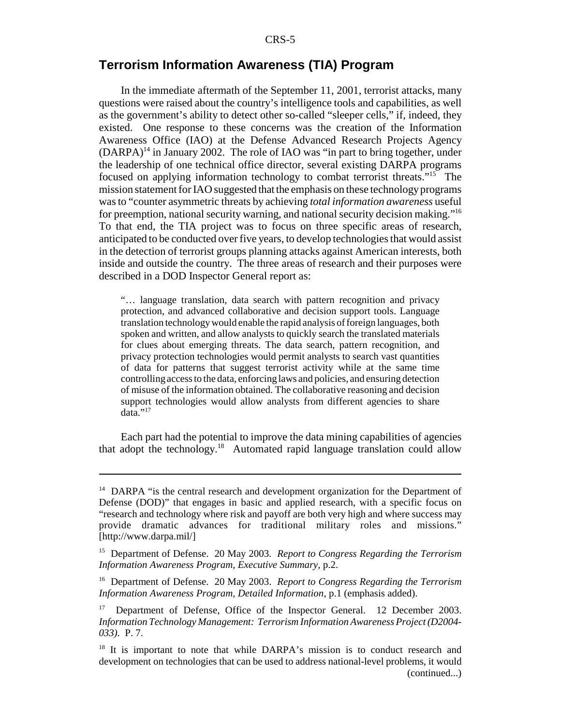#### **Terrorism Information Awareness (TIA) Program**

In the immediate aftermath of the September 11, 2001, terrorist attacks, many questions were raised about the country's intelligence tools and capabilities, as well as the government's ability to detect other so-called "sleeper cells," if, indeed, they existed. One response to these concerns was the creation of the Information Awareness Office (IAO) at the Defense Advanced Research Projects Agency  $(DARPA)<sup>14</sup>$  in January 2002. The role of IAO was "in part to bring together, under the leadership of one technical office director, several existing DARPA programs focused on applying information technology to combat terrorist threats."15 The mission statement for IAO suggested that the emphasis on these technology programs was to "counter asymmetric threats by achieving *total information awareness* useful for preemption, national security warning, and national security decision making."16 To that end, the TIA project was to focus on three specific areas of research, anticipated to be conducted over five years, to develop technologies that would assist in the detection of terrorist groups planning attacks against American interests, both inside and outside the country. The three areas of research and their purposes were described in a DOD Inspector General report as:

"… language translation, data search with pattern recognition and privacy protection, and advanced collaborative and decision support tools. Language translation technology would enable the rapid analysis of foreign languages, both spoken and written, and allow analysts to quickly search the translated materials for clues about emerging threats. The data search, pattern recognition, and privacy protection technologies would permit analysts to search vast quantities of data for patterns that suggest terrorist activity while at the same time controlling access to the data, enforcing laws and policies, and ensuring detection of misuse of the information obtained. The collaborative reasoning and decision support technologies would allow analysts from different agencies to share  $data."17$ 

Each part had the potential to improve the data mining capabilities of agencies that adopt the technology.<sup>18</sup> Automated rapid language translation could allow

<sup>&</sup>lt;sup>14</sup> DARPA "is the central research and development organization for the Department of Defense (DOD)" that engages in basic and applied research, with a specific focus on "research and technology where risk and payoff are both very high and where success may provide dramatic advances for traditional military roles and missions." [http://www.darpa.mil/]

<sup>15</sup> Department of Defense. 20 May 2003. *Report to Congress Regarding the Terrorism Information Awareness Program, Executive Summary*, p.2.

<sup>16</sup> Department of Defense. 20 May 2003. *Report to Congress Regarding the Terrorism Information Awareness Program, Detailed Information*, p.1 (emphasis added).

Department of Defense, Office of the Inspector General. 12 December 2003. *Information Technology Management: Terrorism Information Awareness Project (D2004- 033)*. P. 7.

<sup>&</sup>lt;sup>18</sup> It is important to note that while DARPA's mission is to conduct research and development on technologies that can be used to address national-level problems, it would (continued...)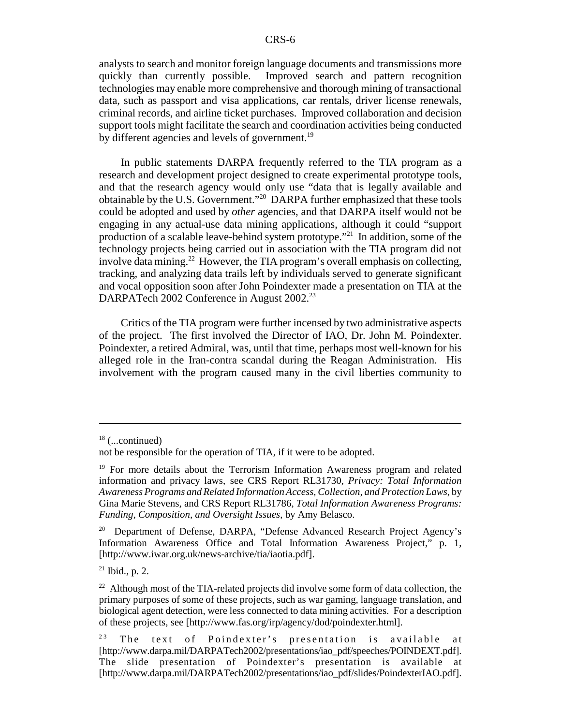analysts to search and monitor foreign language documents and transmissions more quickly than currently possible. Improved search and pattern recognition technologies may enable more comprehensive and thorough mining of transactional data, such as passport and visa applications, car rentals, driver license renewals, criminal records, and airline ticket purchases. Improved collaboration and decision support tools might facilitate the search and coordination activities being conducted by different agencies and levels of government.<sup>19</sup>

In public statements DARPA frequently referred to the TIA program as a research and development project designed to create experimental prototype tools, and that the research agency would only use "data that is legally available and obtainable by the U.S. Government."20 DARPA further emphasized that these tools could be adopted and used by *other* agencies, and that DARPA itself would not be engaging in any actual-use data mining applications, although it could "support production of a scalable leave-behind system prototype."21 In addition, some of the technology projects being carried out in association with the TIA program did not involve data mining.<sup>22</sup> However, the TIA program's overall emphasis on collecting, tracking, and analyzing data trails left by individuals served to generate significant and vocal opposition soon after John Poindexter made a presentation on TIA at the DARPATech 2002 Conference in August 2002.<sup>23</sup>

Critics of the TIA program were further incensed by two administrative aspects of the project. The first involved the Director of IAO, Dr. John M. Poindexter. Poindexter, a retired Admiral, was, until that time, perhaps most well-known for his alleged role in the Iran-contra scandal during the Reagan Administration. His involvement with the program caused many in the civil liberties community to

 $21$  Ibid., p. 2.

 $18$  (...continued)

not be responsible for the operation of TIA, if it were to be adopted.

<sup>&</sup>lt;sup>19</sup> For more details about the Terrorism Information Awareness program and related information and privacy laws, see CRS Report RL31730, *Privacy: Total Information Awareness Programs and Related Information Access, Collection, and Protection Laws*, by Gina Marie Stevens, and CRS Report RL31786, *Total Information Awareness Programs: Funding, Composition, and Oversight Issues*, by Amy Belasco.

<sup>&</sup>lt;sup>20</sup> Department of Defense, DARPA, "Defense Advanced Research Project Agency's Information Awareness Office and Total Information Awareness Project," p. 1, [http://www.iwar.org.uk/news-archive/tia/iaotia.pdf].

 $^{22}$  Although most of the TIA-related projects did involve some form of data collection, the primary purposes of some of these projects, such as war gaming, language translation, and biological agent detection, were less connected to data mining activities. For a description of these projects, see [http://www.fas.org/irp/agency/dod/poindexter.html].

<sup>&</sup>lt;sup>23</sup> The text of Poindexter's presentation is available at [http://www.darpa.mil/DARPATech2002/presentations/iao\_pdf/speeches/POINDEXT.pdf]. The slide presentation of Poindexter's presentation is available at [http://www.darpa.mil/DARPATech2002/presentations/iao\_pdf/slides/PoindexterIAO.pdf].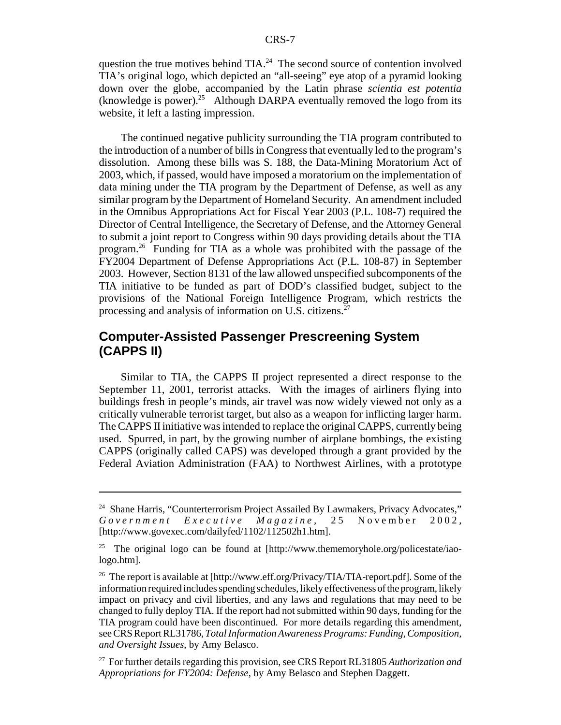question the true motives behind  $TIA.<sup>24</sup>$  The second source of contention involved TIA's original logo, which depicted an "all-seeing" eye atop of a pyramid looking down over the globe, accompanied by the Latin phrase *scientia est potentia* (knowledge is power).<sup>25</sup> Although DARPA eventually removed the logo from its website, it left a lasting impression.

The continued negative publicity surrounding the TIA program contributed to the introduction of a number of bills in Congress that eventually led to the program's dissolution. Among these bills was S. 188, the Data-Mining Moratorium Act of 2003, which, if passed, would have imposed a moratorium on the implementation of data mining under the TIA program by the Department of Defense, as well as any similar program by the Department of Homeland Security. An amendment included in the Omnibus Appropriations Act for Fiscal Year 2003 (P.L. 108-7) required the Director of Central Intelligence, the Secretary of Defense, and the Attorney General to submit a joint report to Congress within 90 days providing details about the TIA program.26 Funding for TIA as a whole was prohibited with the passage of the FY2004 Department of Defense Appropriations Act (P.L. 108-87) in September 2003. However, Section 8131 of the law allowed unspecified subcomponents of the TIA initiative to be funded as part of DOD's classified budget, subject to the provisions of the National Foreign Intelligence Program, which restricts the processing and analysis of information on U.S. citizens.<sup>27</sup>

#### **Computer-Assisted Passenger Prescreening System (CAPPS II)**

Similar to TIA, the CAPPS II project represented a direct response to the September 11, 2001, terrorist attacks. With the images of airliners flying into buildings fresh in people's minds, air travel was now widely viewed not only as a critically vulnerable terrorist target, but also as a weapon for inflicting larger harm. The CAPPS II initiative was intended to replace the original CAPPS, currently being used. Spurred, in part, by the growing number of airplane bombings, the existing CAPPS (originally called CAPS) was developed through a grant provided by the Federal Aviation Administration (FAA) to Northwest Airlines, with a prototype

<sup>&</sup>lt;sup>24</sup> Shane Harris, "Counterterrorism Project Assailed By Lawmakers, Privacy Advocates," *Government Executive M agazine,* 25 November 2002, [http://www.govexec.com/dailyfed/1102/112502h1.htm].

<sup>&</sup>lt;sup>25</sup> The original logo can be found at [http://www.thememoryhole.org/policestate/iaologo.htm].

<sup>&</sup>lt;sup>26</sup> The report is available at  $[http://www.eff.org/Privacy/TIA/TIA-report.pdf]$ . Some of the information required includes spending schedules, likely effectiveness of the program, likely impact on privacy and civil liberties, and any laws and regulations that may need to be changed to fully deploy TIA. If the report had not submitted within 90 days, funding for the TIA program could have been discontinued. For more details regarding this amendment, see CRS Report RL31786, *Total Information Awareness Programs: Funding, Composition, and Oversight Issues*, by Amy Belasco.

<sup>27</sup> For further details regarding this provision, see CRS Report RL31805 *Authorization and Appropriations for FY2004: Defense*, by Amy Belasco and Stephen Daggett.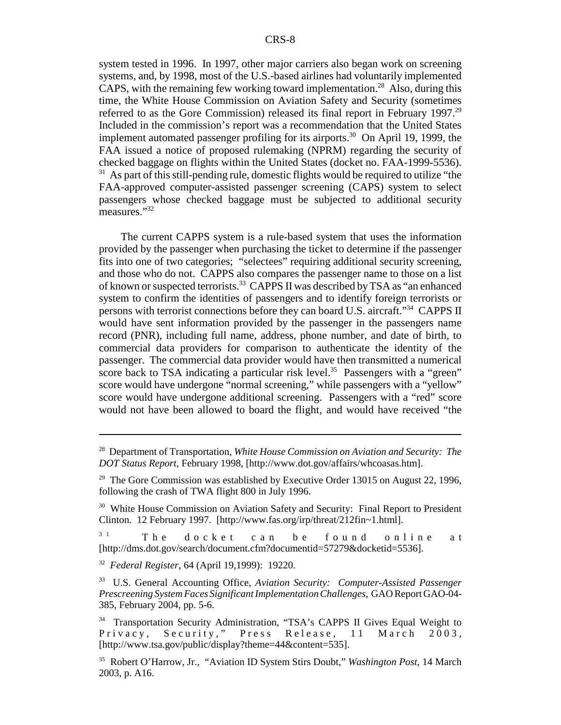system tested in 1996. In 1997, other major carriers also began work on screening systems, and, by 1998, most of the U.S.-based airlines had voluntarily implemented CAPS, with the remaining few working toward implementation.<sup>28</sup> Also, during this time, the White House Commission on Aviation Safety and Security (sometimes referred to as the Gore Commission) released its final report in February 1997.<sup>29</sup> Included in the commission's report was a recommendation that the United States implement automated passenger profiling for its airports.<sup>30</sup> On April 19, 1999, the FAA issued a notice of proposed rulemaking (NPRM) regarding the security of checked baggage on flights within the United States (docket no. FAA-1999-5536).  $31$  As part of this still-pending rule, domestic flights would be required to utilize "the FAA-approved computer-assisted passenger screening (CAPS) system to select passengers whose checked baggage must be subjected to additional security measures."<sup>32</sup>

The current CAPPS system is a rule-based system that uses the information provided by the passenger when purchasing the ticket to determine if the passenger fits into one of two categories; "selectees" requiring additional security screening, and those who do not. CAPPS also compares the passenger name to those on a list of known or suspected terrorists.<sup>33</sup> CAPPS II was described by TSA as "an enhanced system to confirm the identities of passengers and to identify foreign terrorists or persons with terrorist connections before they can board U.S. aircraft."34 CAPPS II would have sent information provided by the passenger in the passengers name record (PNR), including full name, address, phone number, and date of birth, to commercial data providers for comparison to authenticate the identity of the passenger. The commercial data provider would have then transmitted a numerical score back to TSA indicating a particular risk level.<sup>35</sup> Passengers with a "green" score would have undergone "normal screening," while passengers with a "yellow" score would have undergone additional screening. Passengers with a "red" score would not have been allowed to board the flight, and would have received "the

32 *Federal Register*, 64 (April 19,1999): 19220.

<sup>28</sup> Department of Transportation, *White House Commission on Aviation and Security: The DOT Status Report*, February 1998, [http://www.dot.gov/affairs/whcoasas.htm].

 $29$  The Gore Commission was established by Executive Order 13015 on August 22, 1996, following the crash of TWA flight 800 in July 1996.

<sup>&</sup>lt;sup>30</sup> White House Commission on Aviation Safety and Security: Final Report to President Clinton. 12 February 1997. [http://www.fas.org/irp/threat/212fin~1.html].

<sup>3 1</sup> The docket can be found online at [http://dms.dot.gov/search/document.cfm?documentid=57279&docketid=5536].

<sup>33</sup> U.S. General Accounting Office, *Aviation Security: Computer-Assisted Passenger Prescreening System Faces Significant Implementation Challenges*, GAO Report GAO-04- 385, February 2004, pp. 5-6.

<sup>&</sup>lt;sup>34</sup> Transportation Security Administration, "TSA's CAPPS II Gives Equal Weight to Privacy, Security," Press Release, 11 March 2003, [http://www.tsa.gov/public/display?theme=44&content=535].

<sup>35</sup> Robert O'Harrow, Jr., "Aviation ID System Stirs Doubt," *Washington Post*, 14 March 2003, p. A16.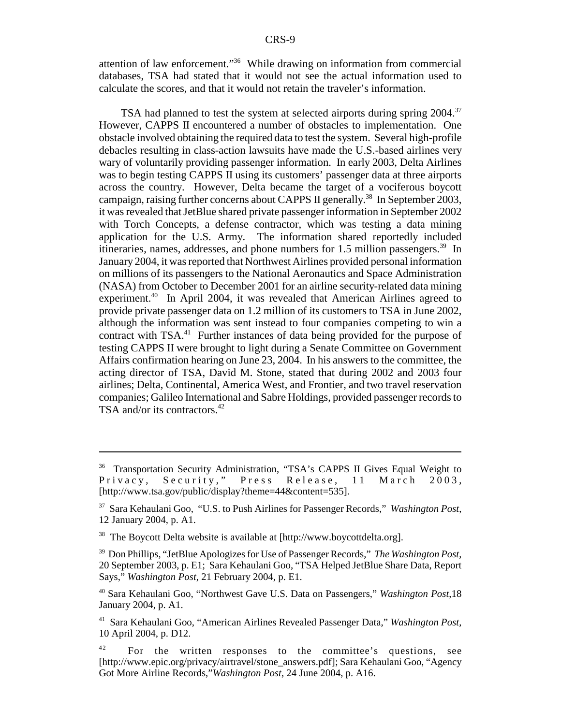attention of law enforcement."36 While drawing on information from commercial databases, TSA had stated that it would not see the actual information used to calculate the scores, and that it would not retain the traveler's information.

TSA had planned to test the system at selected airports during spring 2004.<sup>37</sup> However, CAPPS II encountered a number of obstacles to implementation. One obstacle involved obtaining the required data to test the system. Several high-profile debacles resulting in class-action lawsuits have made the U.S.-based airlines very wary of voluntarily providing passenger information. In early 2003, Delta Airlines was to begin testing CAPPS II using its customers' passenger data at three airports across the country. However, Delta became the target of a vociferous boycott campaign, raising further concerns about CAPPS II generally.<sup>38</sup> In September 2003, it was revealed that JetBlue shared private passenger information in September 2002 with Torch Concepts, a defense contractor, which was testing a data mining application for the U.S. Army. The information shared reportedly included itineraries, names, addresses, and phone numbers for 1.5 million passengers.<sup>39</sup> In January 2004, it was reported that Northwest Airlines provided personal information on millions of its passengers to the National Aeronautics and Space Administration (NASA) from October to December 2001 for an airline security-related data mining experiment.<sup>40</sup> In April 2004, it was revealed that American Airlines agreed to provide private passenger data on 1.2 million of its customers to TSA in June 2002, although the information was sent instead to four companies competing to win a contract with TSA.<sup>41</sup> Further instances of data being provided for the purpose of testing CAPPS II were brought to light during a Senate Committee on Government Affairs confirmation hearing on June 23, 2004. In his answers to the committee, the acting director of TSA, David M. Stone, stated that during 2002 and 2003 four airlines; Delta, Continental, America West, and Frontier, and two travel reservation companies; Galileo International and Sabre Holdings, provided passenger records to TSA and/or its contractors.<sup>42</sup>

<sup>&</sup>lt;sup>36</sup> Transportation Security Administration, "TSA's CAPPS II Gives Equal Weight to  $P \text{ r}$  i v a c v, Security," P r e s s R e l e a s e, 11 M a r c h 2003, Press Release, 11 March 2003, [http://www.tsa.gov/public/display?theme=44&content=535].

<sup>37</sup> Sara Kehaulani Goo, "U.S. to Push Airlines for Passenger Records," *Washington Post*, 12 January 2004, p. A1.

<sup>38</sup> The Boycott Delta website is available at [http://www.boycottdelta.org].

<sup>39</sup> Don Phillips, "JetBlue Apologizes for Use of Passenger Records," *The Washington Post*, 20 September 2003, p. E1; Sara Kehaulani Goo, "TSA Helped JetBlue Share Data, Report Says," *Washington Post*, 21 February 2004, p. E1.

<sup>40</sup> Sara Kehaulani Goo, "Northwest Gave U.S. Data on Passengers," *Washington Post*,18 January 2004, p. A1.

<sup>41</sup> Sara Kehaulani Goo, "American Airlines Revealed Passenger Data," *Washington Post*, 10 April 2004, p. D12.

 $42$  For the written responses to the committee's questions, see [http://www.epic.org/privacy/airtravel/stone\_answers.pdf]; Sara Kehaulani Goo, "Agency Got More Airline Records,"*Washington Post*, 24 June 2004, p. A16.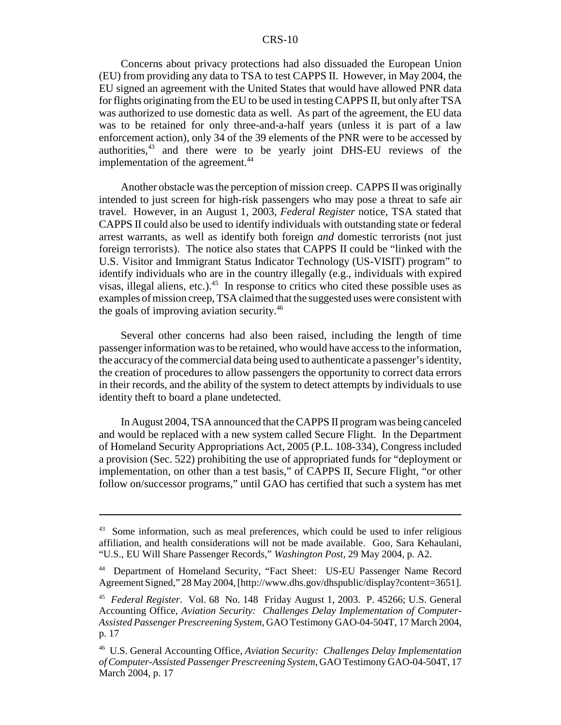#### CRS-10

Concerns about privacy protections had also dissuaded the European Union (EU) from providing any data to TSA to test CAPPS II. However, in May 2004, the EU signed an agreement with the United States that would have allowed PNR data for flights originating from the EU to be used in testing CAPPS II, but only after TSA was authorized to use domestic data as well. As part of the agreement, the EU data was to be retained for only three-and-a-half years (unless it is part of a law enforcement action), only 34 of the 39 elements of the PNR were to be accessed by authorities,43 and there were to be yearly joint DHS-EU reviews of the implementation of the agreement.<sup>44</sup>

Another obstacle was the perception of mission creep. CAPPS II was originally intended to just screen for high-risk passengers who may pose a threat to safe air travel. However, in an August 1, 2003, *Federal Register* notice, TSA stated that CAPPS II could also be used to identify individuals with outstanding state or federal arrest warrants, as well as identify both foreign *and* domestic terrorists (not just foreign terrorists). The notice also states that CAPPS II could be "linked with the U.S. Visitor and Immigrant Status Indicator Technology (US-VISIT) program" to identify individuals who are in the country illegally (e.g., individuals with expired visas, illegal aliens, etc.). $45$  In response to critics who cited these possible uses as examples of mission creep, TSA claimed that the suggested uses were consistent with the goals of improving aviation security.<sup>46</sup>

Several other concerns had also been raised, including the length of time passenger information was to be retained, who would have access to the information, the accuracy of the commercial data being used to authenticate a passenger's identity, the creation of procedures to allow passengers the opportunity to correct data errors in their records, and the ability of the system to detect attempts by individuals to use identity theft to board a plane undetected.

In August 2004, TSA announced that the CAPPS II program was being canceled and would be replaced with a new system called Secure Flight. In the Department of Homeland Security Appropriations Act, 2005 (P.L. 108-334), Congress included a provision (Sec. 522) prohibiting the use of appropriated funds for "deployment or implementation, on other than a test basis," of CAPPS II, Secure Flight, "or other follow on/successor programs," until GAO has certified that such a system has met

<sup>&</sup>lt;sup>43</sup> Some information, such as meal preferences, which could be used to infer religious affiliation, and health considerations will not be made available. Goo, Sara Kehaulani, "U.S., EU Will Share Passenger Records," *Washington Post*, 29 May 2004, p. A2.

<sup>44</sup> Department of Homeland Security, "Fact Sheet: US-EU Passenger Name Record Agreement Signed," 28 May 2004, [http://www.dhs.gov/dhspublic/display?content=3651].

<sup>45</sup> *Federal Register*. Vol. 68 No. 148 Friday August 1, 2003. P. 45266; U.S. General Accounting Office, *Aviation Security: Challenges Delay Implementation of Computer-Assisted Passenger Prescreening System*, GAO Testimony GAO-04-504T, 17 March 2004, p. 17

<sup>46</sup> U.S. General Accounting Office, *Aviation Security: Challenges Delay Implementation of Computer-Assisted Passenger Prescreening System*, GAO Testimony GAO-04-504T, 17 March 2004, p. 17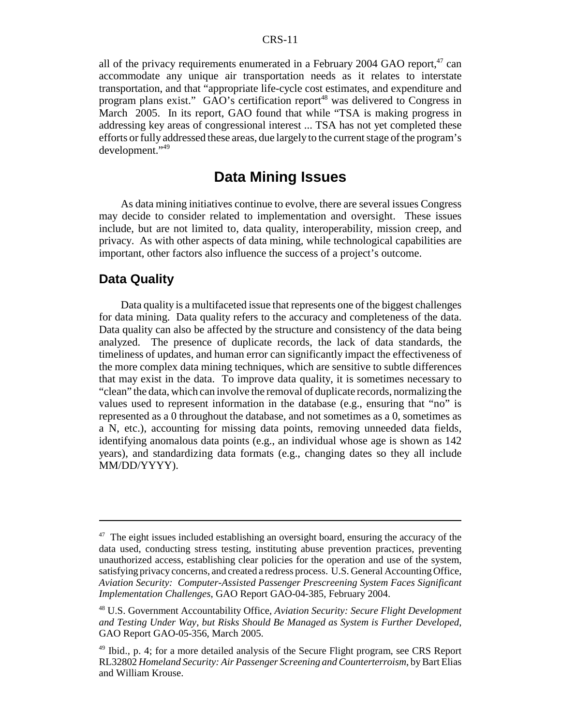all of the privacy requirements enumerated in a February 2004 GAO report, $47$  can accommodate any unique air transportation needs as it relates to interstate transportation, and that "appropriate life-cycle cost estimates, and expenditure and program plans exist." GAO's certification report<sup>48</sup> was delivered to Congress in March 2005. In its report, GAO found that while "TSA is making progress in addressing key areas of congressional interest ... TSA has not yet completed these efforts or fully addressed these areas, due largely to the current stage of the program's development."49

## **Data Mining Issues**

As data mining initiatives continue to evolve, there are several issues Congress may decide to consider related to implementation and oversight. These issues include, but are not limited to, data quality, interoperability, mission creep, and privacy. As with other aspects of data mining, while technological capabilities are important, other factors also influence the success of a project's outcome.

#### **Data Quality**

Data quality is a multifaceted issue that represents one of the biggest challenges for data mining. Data quality refers to the accuracy and completeness of the data. Data quality can also be affected by the structure and consistency of the data being analyzed. The presence of duplicate records, the lack of data standards, the timeliness of updates, and human error can significantly impact the effectiveness of the more complex data mining techniques, which are sensitive to subtle differences that may exist in the data. To improve data quality, it is sometimes necessary to "clean" the data, which can involve the removal of duplicate records, normalizing the values used to represent information in the database (e.g., ensuring that "no" is represented as a 0 throughout the database, and not sometimes as a 0, sometimes as a N, etc.), accounting for missing data points, removing unneeded data fields, identifying anomalous data points (e.g., an individual whose age is shown as 142 years), and standardizing data formats (e.g., changing dates so they all include MM/DD/YYYY).

 $47$  The eight issues included establishing an oversight board, ensuring the accuracy of the data used, conducting stress testing, instituting abuse prevention practices, preventing unauthorized access, establishing clear policies for the operation and use of the system, satisfying privacy concerns, and created a redress process. U.S. General Accounting Office, *Aviation Security: Computer-Assisted Passenger Prescreening System Faces Significant Implementation Challenges*, GAO Report GAO-04-385, February 2004.

<sup>48</sup> U.S. Government Accountability Office, *Aviation Security: Secure Flight Development and Testing Under Way, but Risks Should Be Managed as System is Further Developed*, GAO Report GAO-05-356, March 2005.

<sup>49</sup> Ibid., p. 4; for a more detailed analysis of the Secure Flight program, see CRS Report RL32802 *Homeland Security: Air Passenger Screening and Counterterroism*, by Bart Elias and William Krouse.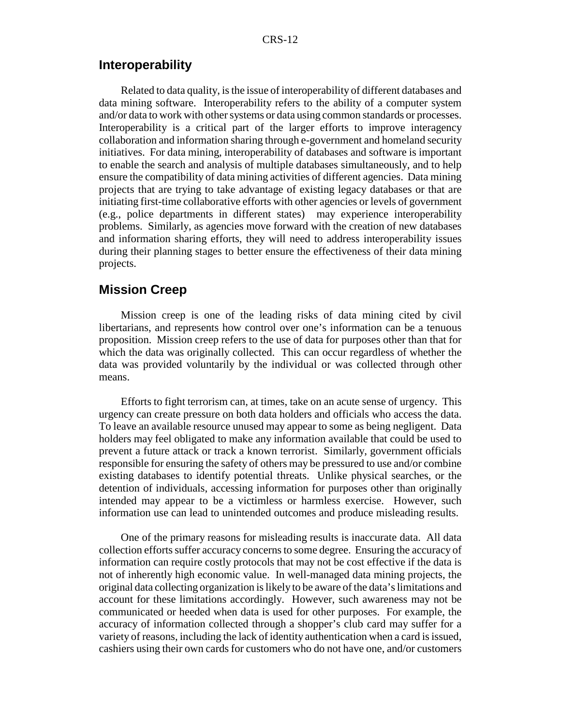#### **Interoperability**

Related to data quality, is the issue of interoperability of different databases and data mining software. Interoperability refers to the ability of a computer system and/or data to work with other systems or data using common standards or processes. Interoperability is a critical part of the larger efforts to improve interagency collaboration and information sharing through e-government and homeland security initiatives. For data mining, interoperability of databases and software is important to enable the search and analysis of multiple databases simultaneously, and to help ensure the compatibility of data mining activities of different agencies. Data mining projects that are trying to take advantage of existing legacy databases or that are initiating first-time collaborative efforts with other agencies or levels of government (e.g., police departments in different states) may experience interoperability problems. Similarly, as agencies move forward with the creation of new databases and information sharing efforts, they will need to address interoperability issues during their planning stages to better ensure the effectiveness of their data mining projects.

#### **Mission Creep**

Mission creep is one of the leading risks of data mining cited by civil libertarians, and represents how control over one's information can be a tenuous proposition. Mission creep refers to the use of data for purposes other than that for which the data was originally collected. This can occur regardless of whether the data was provided voluntarily by the individual or was collected through other means.

Efforts to fight terrorism can, at times, take on an acute sense of urgency. This urgency can create pressure on both data holders and officials who access the data. To leave an available resource unused may appear to some as being negligent. Data holders may feel obligated to make any information available that could be used to prevent a future attack or track a known terrorist. Similarly, government officials responsible for ensuring the safety of others may be pressured to use and/or combine existing databases to identify potential threats. Unlike physical searches, or the detention of individuals, accessing information for purposes other than originally intended may appear to be a victimless or harmless exercise. However, such information use can lead to unintended outcomes and produce misleading results.

One of the primary reasons for misleading results is inaccurate data. All data collection efforts suffer accuracy concerns to some degree. Ensuring the accuracy of information can require costly protocols that may not be cost effective if the data is not of inherently high economic value. In well-managed data mining projects, the original data collecting organization is likely to be aware of the data's limitations and account for these limitations accordingly. However, such awareness may not be communicated or heeded when data is used for other purposes. For example, the accuracy of information collected through a shopper's club card may suffer for a variety of reasons, including the lack of identity authentication when a card is issued, cashiers using their own cards for customers who do not have one, and/or customers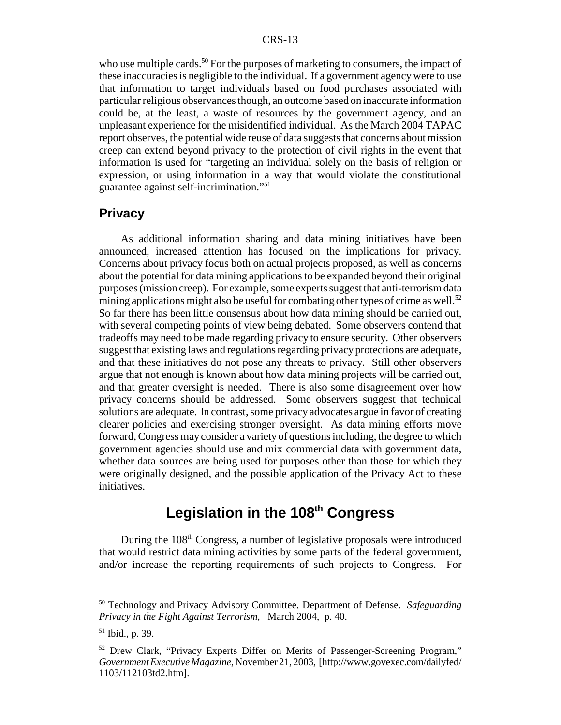who use multiple cards.<sup>50</sup> For the purposes of marketing to consumers, the impact of these inaccuracies is negligible to the individual. If a government agency were to use that information to target individuals based on food purchases associated with particular religious observances though, an outcome based on inaccurate information could be, at the least, a waste of resources by the government agency, and an unpleasant experience for the misidentified individual. As the March 2004 TAPAC report observes, the potential wide reuse of data suggests that concerns about mission creep can extend beyond privacy to the protection of civil rights in the event that information is used for "targeting an individual solely on the basis of religion or expression, or using information in a way that would violate the constitutional guarantee against self-incrimination."51

#### **Privacy**

As additional information sharing and data mining initiatives have been announced, increased attention has focused on the implications for privacy. Concerns about privacy focus both on actual projects proposed, as well as concerns about the potential for data mining applications to be expanded beyond their original purposes (mission creep). For example, some experts suggest that anti-terrorism data mining applications might also be useful for combating other types of crime as well.<sup>52</sup> So far there has been little consensus about how data mining should be carried out, with several competing points of view being debated. Some observers contend that tradeoffs may need to be made regarding privacy to ensure security. Other observers suggest that existing laws and regulations regarding privacy protections are adequate, and that these initiatives do not pose any threats to privacy. Still other observers argue that not enough is known about how data mining projects will be carried out, and that greater oversight is needed. There is also some disagreement over how privacy concerns should be addressed. Some observers suggest that technical solutions are adequate. In contrast, some privacy advocates argue in favor of creating clearer policies and exercising stronger oversight. As data mining efforts move forward, Congress may consider a variety of questions including, the degree to which government agencies should use and mix commercial data with government data, whether data sources are being used for purposes other than those for which they were originally designed, and the possible application of the Privacy Act to these initiatives.

# Legislation in the 108<sup>th</sup> Congress

During the 108<sup>th</sup> Congress, a number of legislative proposals were introduced that would restrict data mining activities by some parts of the federal government, and/or increase the reporting requirements of such projects to Congress. For

<sup>50</sup> Technology and Privacy Advisory Committee, Department of Defense. *Safeguarding Privacy in the Fight Against Terrorism*, March 2004, p. 40.

<sup>51</sup> Ibid., p. 39.

<sup>&</sup>lt;sup>52</sup> Drew Clark, "Privacy Experts Differ on Merits of Passenger-Screening Program," *Government Executive Magazine*, November 21, 2003, [http://www.govexec.com/dailyfed/ 1103/112103td2.htm].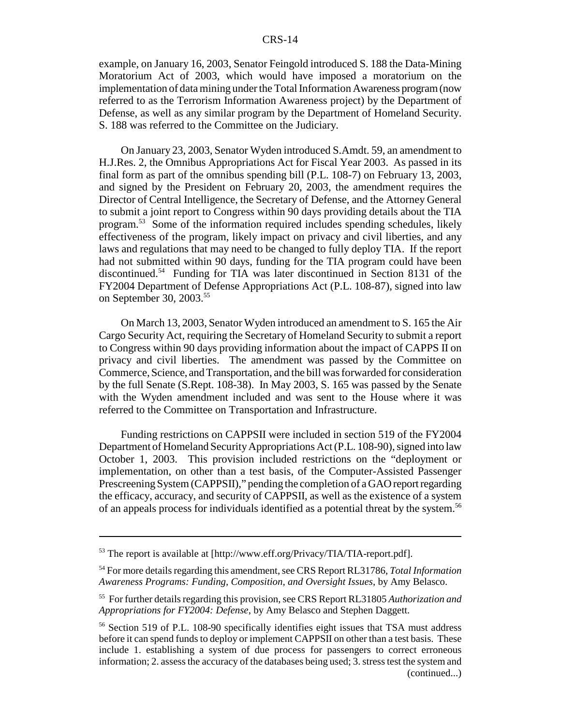example, on January 16, 2003, Senator Feingold introduced S. 188 the Data-Mining Moratorium Act of 2003, which would have imposed a moratorium on the implementation of data mining under the Total Information Awareness program (now referred to as the Terrorism Information Awareness project) by the Department of Defense, as well as any similar program by the Department of Homeland Security. S. 188 was referred to the Committee on the Judiciary.

On January 23, 2003, Senator Wyden introduced S.Amdt. 59, an amendment to H.J.Res. 2, the Omnibus Appropriations Act for Fiscal Year 2003. As passed in its final form as part of the omnibus spending bill (P.L. 108-7) on February 13, 2003, and signed by the President on February 20, 2003, the amendment requires the Director of Central Intelligence, the Secretary of Defense, and the Attorney General to submit a joint report to Congress within 90 days providing details about the TIA program.53 Some of the information required includes spending schedules, likely effectiveness of the program, likely impact on privacy and civil liberties, and any laws and regulations that may need to be changed to fully deploy TIA. If the report had not submitted within 90 days, funding for the TIA program could have been discontinued.54 Funding for TIA was later discontinued in Section 8131 of the FY2004 Department of Defense Appropriations Act (P.L. 108-87), signed into law on September 30, 2003.<sup>55</sup>

On March 13, 2003, Senator Wyden introduced an amendment to S. 165 the Air Cargo Security Act, requiring the Secretary of Homeland Security to submit a report to Congress within 90 days providing information about the impact of CAPPS II on privacy and civil liberties. The amendment was passed by the Committee on Commerce, Science, and Transportation, and the bill was forwarded for consideration by the full Senate (S.Rept. 108-38). In May 2003, S. 165 was passed by the Senate with the Wyden amendment included and was sent to the House where it was referred to the Committee on Transportation and Infrastructure.

Funding restrictions on CAPPSII were included in section 519 of the FY2004 Department of Homeland Security Appropriations Act (P.L. 108-90), signed into law October 1, 2003. This provision included restrictions on the "deployment or implementation, on other than a test basis, of the Computer-Assisted Passenger Prescreening System (CAPPSII)," pending the completion of a GAO report regarding the efficacy, accuracy, and security of CAPPSII, as well as the existence of a system of an appeals process for individuals identified as a potential threat by the system.<sup>56</sup>

<sup>53</sup> The report is available at [http://www.eff.org/Privacy/TIA/TIA-report.pdf].

<sup>54</sup> For more details regarding this amendment, see CRS Report RL31786, *Total Information Awareness Programs: Funding, Composition, and Oversight Issues*, by Amy Belasco.

<sup>55</sup> For further details regarding this provision, see CRS Report RL31805 *Authorization and Appropriations for FY2004: Defense*, by Amy Belasco and Stephen Daggett.

<sup>56</sup> Section 519 of P.L. 108-90 specifically identifies eight issues that TSA must address before it can spend funds to deploy or implement CAPPSII on other than a test basis. These include 1. establishing a system of due process for passengers to correct erroneous information; 2. assess the accuracy of the databases being used; 3. stress test the system and (continued...)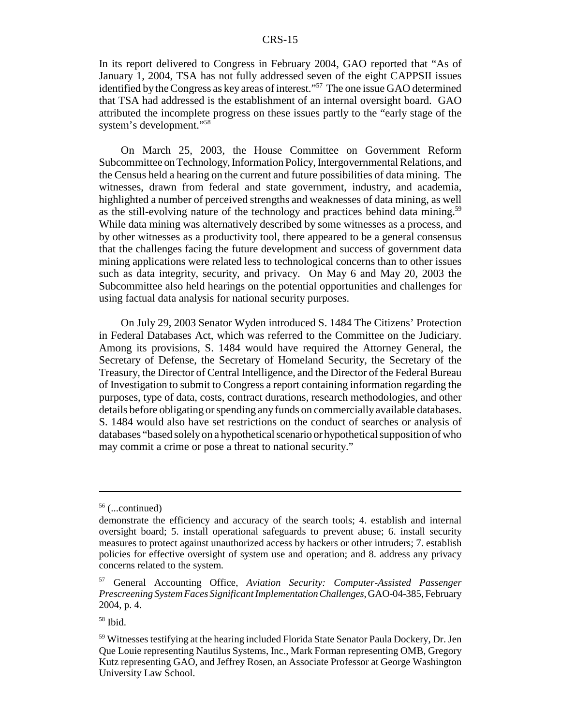In its report delivered to Congress in February 2004, GAO reported that "As of January 1, 2004, TSA has not fully addressed seven of the eight CAPPSII issues identified by the Congress as key areas of interest."57 The one issue GAO determined that TSA had addressed is the establishment of an internal oversight board. GAO attributed the incomplete progress on these issues partly to the "early stage of the system's development."58

On March 25, 2003, the House Committee on Government Reform Subcommittee on Technology, Information Policy, Intergovernmental Relations, and the Census held a hearing on the current and future possibilities of data mining. The witnesses, drawn from federal and state government, industry, and academia, highlighted a number of perceived strengths and weaknesses of data mining, as well as the still-evolving nature of the technology and practices behind data mining.<sup>59</sup> While data mining was alternatively described by some witnesses as a process, and by other witnesses as a productivity tool, there appeared to be a general consensus that the challenges facing the future development and success of government data mining applications were related less to technological concerns than to other issues such as data integrity, security, and privacy. On May 6 and May 20, 2003 the Subcommittee also held hearings on the potential opportunities and challenges for using factual data analysis for national security purposes.

On July 29, 2003 Senator Wyden introduced S. 1484 The Citizens' Protection in Federal Databases Act, which was referred to the Committee on the Judiciary. Among its provisions, S. 1484 would have required the Attorney General, the Secretary of Defense, the Secretary of Homeland Security, the Secretary of the Treasury, the Director of Central Intelligence, and the Director of the Federal Bureau of Investigation to submit to Congress a report containing information regarding the purposes, type of data, costs, contract durations, research methodologies, and other details before obligating or spending any funds on commercially available databases. S. 1484 would also have set restrictions on the conduct of searches or analysis of databases "based solely on a hypothetical scenario or hypothetical supposition of who may commit a crime or pose a threat to national security."

 $56$  (...continued)

demonstrate the efficiency and accuracy of the search tools; 4. establish and internal oversight board; 5. install operational safeguards to prevent abuse; 6. install security measures to protect against unauthorized access by hackers or other intruders; 7. establish policies for effective oversight of system use and operation; and 8. address any privacy concerns related to the system.

<sup>57</sup> General Accounting Office, *Aviation Security: Computer-Assisted Passenger Prescreening System Faces Significant Implementation Challenges*, GAO-04-385, February 2004, p. 4.

<sup>58</sup> Ibid.

<sup>&</sup>lt;sup>59</sup> Witnesses testifying at the hearing included Florida State Senator Paula Dockery, Dr. Jen Que Louie representing Nautilus Systems, Inc., Mark Forman representing OMB, Gregory Kutz representing GAO, and Jeffrey Rosen, an Associate Professor at George Washington University Law School.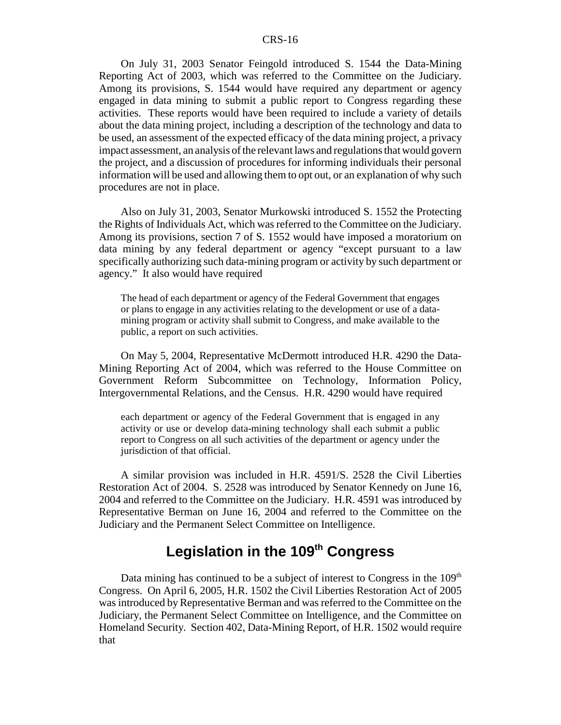#### CRS-16

On July 31, 2003 Senator Feingold introduced S. 1544 the Data-Mining Reporting Act of 2003, which was referred to the Committee on the Judiciary. Among its provisions, S. 1544 would have required any department or agency engaged in data mining to submit a public report to Congress regarding these activities. These reports would have been required to include a variety of details about the data mining project, including a description of the technology and data to be used, an assessment of the expected efficacy of the data mining project, a privacy impact assessment, an analysis of the relevant laws and regulations that would govern the project, and a discussion of procedures for informing individuals their personal information will be used and allowing them to opt out, or an explanation of why such procedures are not in place.

Also on July 31, 2003, Senator Murkowski introduced S. 1552 the Protecting the Rights of Individuals Act, which was referred to the Committee on the Judiciary. Among its provisions, section 7 of S. 1552 would have imposed a moratorium on data mining by any federal department or agency "except pursuant to a law specifically authorizing such data-mining program or activity by such department or agency." It also would have required

The head of each department or agency of the Federal Government that engages or plans to engage in any activities relating to the development or use of a datamining program or activity shall submit to Congress, and make available to the public, a report on such activities.

On May 5, 2004, Representative McDermott introduced H.R. 4290 the Data-Mining Reporting Act of 2004, which was referred to the House Committee on Government Reform Subcommittee on Technology, Information Policy, Intergovernmental Relations, and the Census. H.R. 4290 would have required

each department or agency of the Federal Government that is engaged in any activity or use or develop data-mining technology shall each submit a public report to Congress on all such activities of the department or agency under the jurisdiction of that official.

A similar provision was included in H.R. 4591/S. 2528 the Civil Liberties Restoration Act of 2004. S. 2528 was introduced by Senator Kennedy on June 16, 2004 and referred to the Committee on the Judiciary. H.R. 4591 was introduced by Representative Berman on June 16, 2004 and referred to the Committee on the Judiciary and the Permanent Select Committee on Intelligence.

# Legislation in the 109<sup>th</sup> Congress

Data mining has continued to be a subject of interest to Congress in the  $109<sup>th</sup>$ Congress. On April 6, 2005, H.R. 1502 the Civil Liberties Restoration Act of 2005 was introduced by Representative Berman and was referred to the Committee on the Judiciary, the Permanent Select Committee on Intelligence, and the Committee on Homeland Security. Section 402, Data-Mining Report, of H.R. 1502 would require that